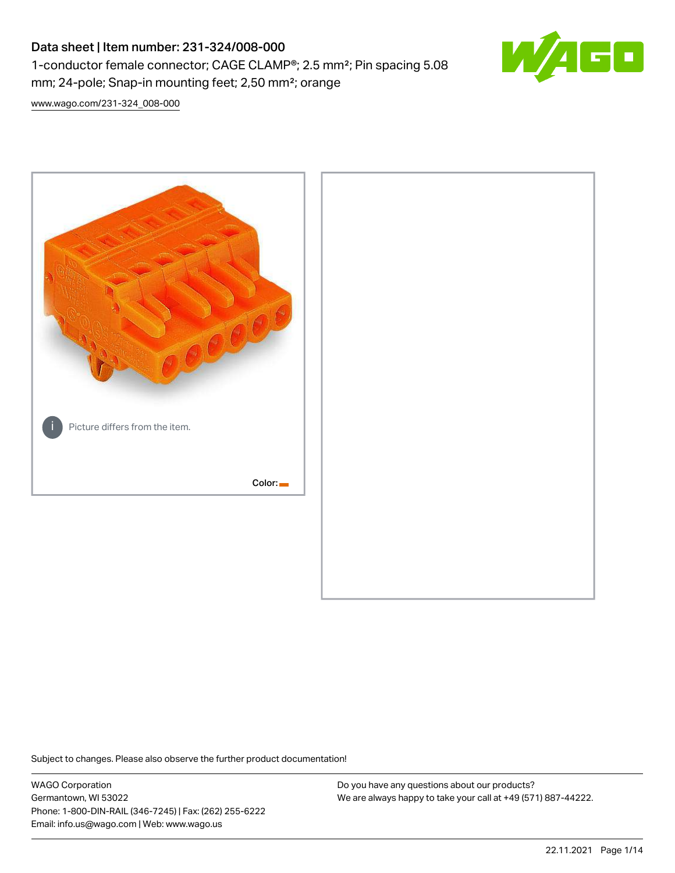# Data sheet | Item number: 231-324/008-000 1-conductor female connector; CAGE CLAMP®; 2.5 mm²; Pin spacing 5.08 mm; 24-pole; Snap-in mounting feet; 2,50 mm²; orange



[www.wago.com/231-324\\_008-000](http://www.wago.com/231-324_008-000)



Subject to changes. Please also observe the further product documentation!

WAGO Corporation Germantown, WI 53022 Phone: 1-800-DIN-RAIL (346-7245) | Fax: (262) 255-6222 Email: info.us@wago.com | Web: www.wago.us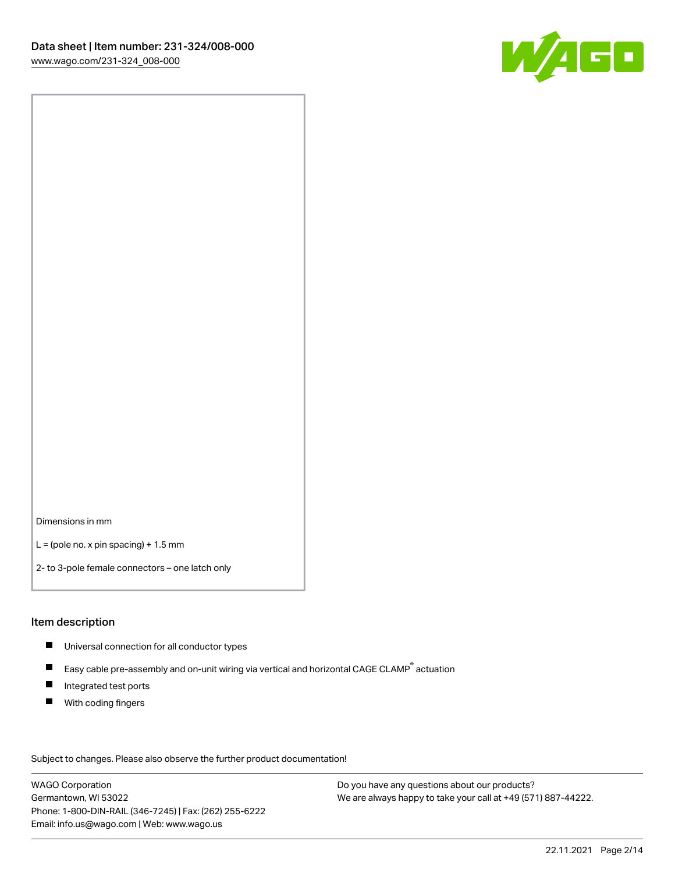

Dimensions in mm

 $L =$  (pole no. x pin spacing) + 1.5 mm

2- to 3-pole female connectors – one latch only

#### Item description

- **Universal connection for all conductor types**
- Easy cable pre-assembly and on-unit wiring via vertical and horizontal CAGE CLAMP<sup>®</sup> actuation  $\blacksquare$
- $\blacksquare$ Integrated test ports
- $\blacksquare$ With coding fingers

Subject to changes. Please also observe the further product documentation! Data

WAGO Corporation Germantown, WI 53022 Phone: 1-800-DIN-RAIL (346-7245) | Fax: (262) 255-6222 Email: info.us@wago.com | Web: www.wago.us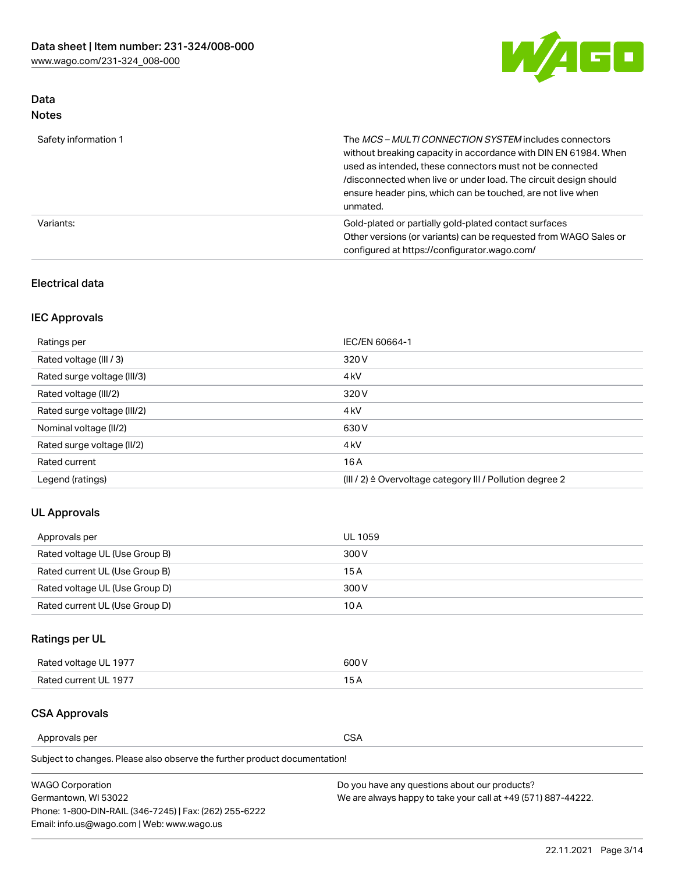

# Data Notes

| Safety information 1 | The MCS-MULTI CONNECTION SYSTEM includes connectors<br>without breaking capacity in accordance with DIN EN 61984. When<br>used as intended, these connectors must not be connected<br>/disconnected when live or under load. The circuit design should<br>ensure header pins, which can be touched, are not live when<br>unmated. |
|----------------------|-----------------------------------------------------------------------------------------------------------------------------------------------------------------------------------------------------------------------------------------------------------------------------------------------------------------------------------|
| Variants:            | Gold-plated or partially gold-plated contact surfaces<br>Other versions (or variants) can be requested from WAGO Sales or<br>configured at https://configurator.wago.com/                                                                                                                                                         |

# Electrical data

# IEC Approvals

| Ratings per                 | IEC/EN 60664-1                                                        |
|-----------------------------|-----------------------------------------------------------------------|
| Rated voltage (III / 3)     | 320 V                                                                 |
| Rated surge voltage (III/3) | 4 <sub>k</sub> V                                                      |
| Rated voltage (III/2)       | 320 V                                                                 |
| Rated surge voltage (III/2) | 4 <sub>k</sub> V                                                      |
| Nominal voltage (II/2)      | 630 V                                                                 |
| Rated surge voltage (II/2)  | 4 <sub>k</sub> V                                                      |
| Rated current               | 16A                                                                   |
| Legend (ratings)            | $(III / 2)$ $\triangle$ Overvoltage category III / Pollution degree 2 |

# UL Approvals

| Approvals per                  | UL 1059 |
|--------------------------------|---------|
| Rated voltage UL (Use Group B) | 300 V   |
| Rated current UL (Use Group B) | 15 A    |
| Rated voltage UL (Use Group D) | 300 V   |
| Rated current UL (Use Group D) | 10 A    |

# Ratings per UL

| Rated voltage UL 1977 | 300 V |
|-----------------------|-------|
| Rated current UL 1977 |       |

## CSA Approvals

Approvals per CSA

Subject to changes. Please also observe the further product documentation!

| <b>WAGO Corporation</b>                                | Do you have any questions about our products?                 |
|--------------------------------------------------------|---------------------------------------------------------------|
| Germantown, WI 53022                                   | We are always happy to take your call at +49 (571) 887-44222. |
| Phone: 1-800-DIN-RAIL (346-7245)   Fax: (262) 255-6222 |                                                               |
| Email: info.us@wago.com   Web: www.wago.us             |                                                               |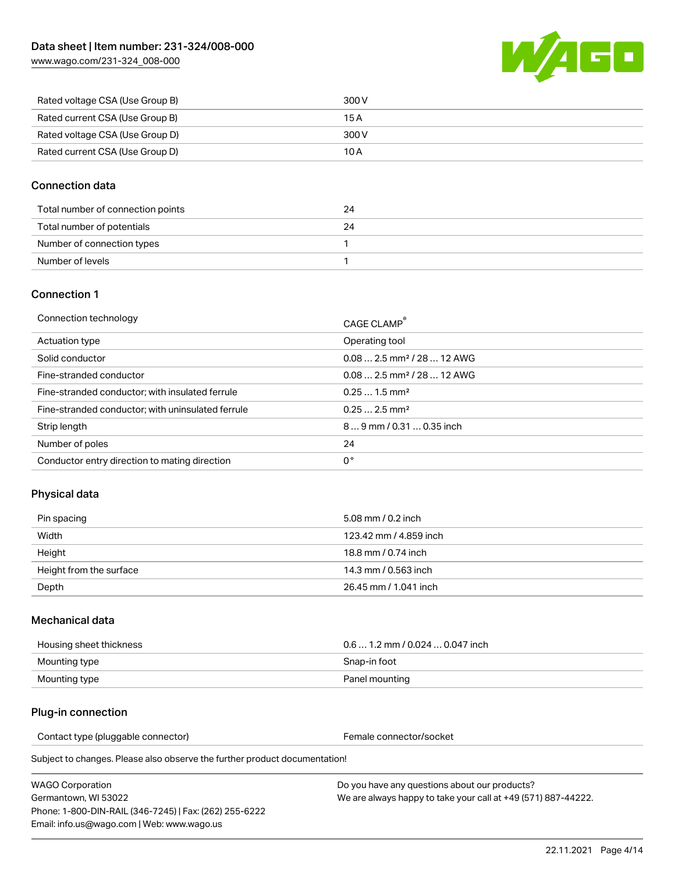[www.wago.com/231-324\\_008-000](http://www.wago.com/231-324_008-000)



| Rated voltage CSA (Use Group B) | 300 V |
|---------------------------------|-------|
| Rated current CSA (Use Group B) | 15 A  |
| Rated voltage CSA (Use Group D) | 300 V |
| Rated current CSA (Use Group D) | 10 A  |

## Connection data

| Total number of connection points | 24 |
|-----------------------------------|----|
| Total number of potentials        | 24 |
| Number of connection types        |    |
| Number of levels                  |    |

### Connection 1

| Connection technology                             | CAGE CLAMP®                             |
|---------------------------------------------------|-----------------------------------------|
| Actuation type                                    | Operating tool                          |
| Solid conductor                                   | $0.082.5$ mm <sup>2</sup> / 28  12 AWG  |
| Fine-stranded conductor                           | $0.08$ 2.5 mm <sup>2</sup> / 28  12 AWG |
| Fine-stranded conductor; with insulated ferrule   | $0.251.5$ mm <sup>2</sup>               |
| Fine-stranded conductor; with uninsulated ferrule | $0.252.5$ mm <sup>2</sup>               |
| Strip length                                      | $89$ mm $/ 0.310.35$ inch               |
| Number of poles                                   | 24                                      |
| Conductor entry direction to mating direction     | 0°                                      |

## Physical data

| Pin spacing             | 5.08 mm / 0.2 inch     |
|-------------------------|------------------------|
| Width                   | 123.42 mm / 4.859 inch |
| Height                  | 18.8 mm / 0.74 inch    |
| Height from the surface | 14.3 mm / 0.563 inch   |
| Depth                   | 26.45 mm / 1.041 inch  |

### Mechanical data

| Housing sheet thickness | $0.61.2$ mm / 0.024  0.047 inch |
|-------------------------|---------------------------------|
| Mounting type           | Snap-in foot                    |
| Mounting type           | Panel mounting                  |

### Plug-in connection

Contact type (pluggable connector) example a set of the Female connector/socket

Subject to changes. Please also observe the further product documentation!

WAGO Corporation Germantown, WI 53022 Phone: 1-800-DIN-RAIL (346-7245) | Fax: (262) 255-6222 Email: info.us@wago.com | Web: www.wago.us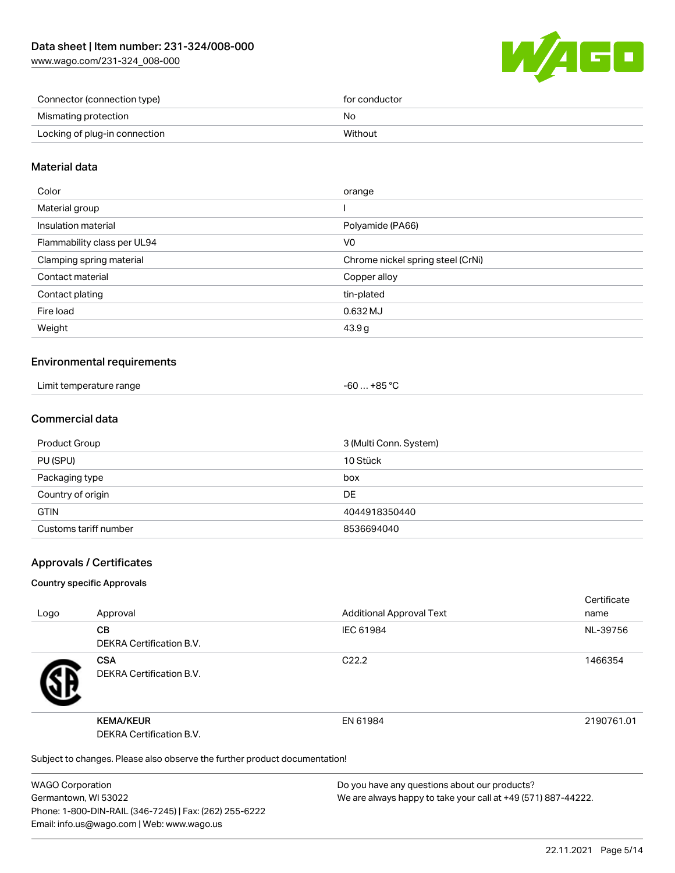[www.wago.com/231-324\\_008-000](http://www.wago.com/231-324_008-000)



| Connector (connection type)   | for conductor |
|-------------------------------|---------------|
| Mismating protection          | No            |
| Locking of plug-in connection | Without       |

## Material data

| Color                       | orange                            |
|-----------------------------|-----------------------------------|
| Material group              |                                   |
| Insulation material         | Polyamide (PA66)                  |
| Flammability class per UL94 | V0                                |
| Clamping spring material    | Chrome nickel spring steel (CrNi) |
| Contact material            | Copper alloy                      |
| Contact plating             | tin-plated                        |
| Fire load                   | 0.632 MJ                          |
| Weight                      | 43.9 g                            |
|                             |                                   |

### Environmental requirements

| Limit temperature range | . +85 ° <sup>∩</sup><br>-60 |
|-------------------------|-----------------------------|
|-------------------------|-----------------------------|

## Commercial data

| Product Group         | 3 (Multi Conn. System) |
|-----------------------|------------------------|
| PU (SPU)              | 10 Stück               |
| Packaging type        | box                    |
| Country of origin     | <b>DE</b>              |
| <b>GTIN</b>           | 4044918350440          |
| Customs tariff number | 8536694040             |

### Approvals / Certificates

#### Country specific Approvals

| Logo | Approval                                                                   | <b>Additional Approval Text</b> | Certificate<br>name |
|------|----------------------------------------------------------------------------|---------------------------------|---------------------|
|      | <b>CB</b><br><b>DEKRA Certification B.V.</b>                               | IEC 61984                       | NL-39756            |
|      | <b>CSA</b><br><b>DEKRA Certification B.V.</b>                              | C <sub>22.2</sub>               | 1466354             |
|      | <b>KEMA/KEUR</b><br><b>DEKRA Certification B.V.</b>                        | EN 61984                        | 2190761.01          |
|      | Subject to changes. Please also observe the further product documentation! |                                 |                     |

WAGO Corporation Germantown, WI 53022 Phone: 1-800-DIN-RAIL (346-7245) | Fax: (262) 255-6222 Email: info.us@wago.com | Web: www.wago.us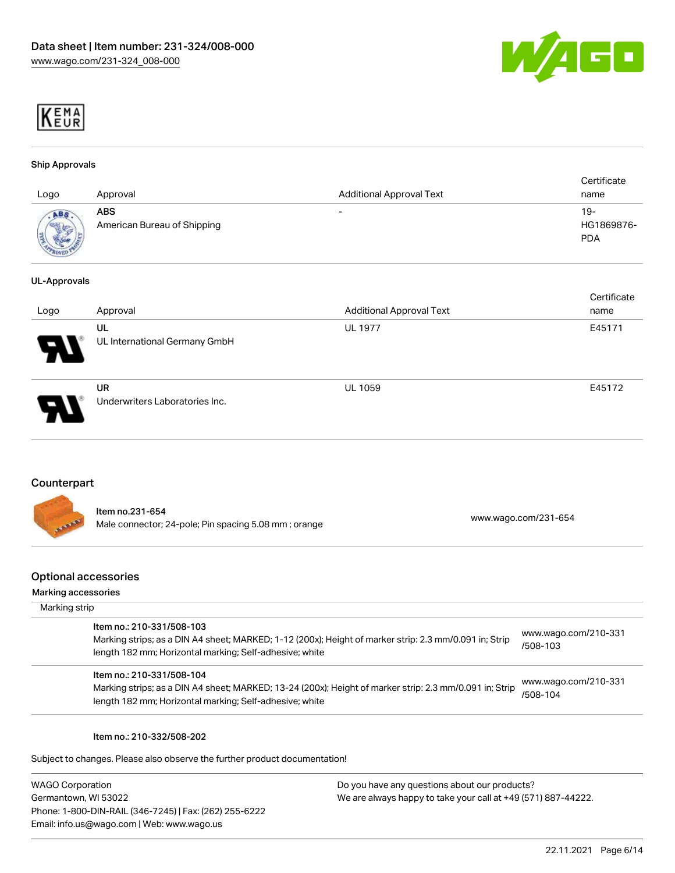



#### Ship Approvals

| Logo                  | Approval                                  | <b>Additional Approval Text</b> | Certificate<br>name             |
|-----------------------|-------------------------------------------|---------------------------------|---------------------------------|
| ABS<br><b>SERVICE</b> | <b>ABS</b><br>American Bureau of Shipping | $\overline{\phantom{0}}$        | 19-<br>HG1869876-<br><b>PDA</b> |

#### UL-Approvals

| Logo | Approval                             | <b>Additional Approval Text</b> | Certificate<br>name |
|------|--------------------------------------|---------------------------------|---------------------|
| 8    | UL<br>UL International Germany GmbH  | <b>UL 1977</b>                  | E45171              |
| Ъ.   | UR<br>Underwriters Laboratories Inc. | <b>UL 1059</b>                  | E45172              |

## Counterpart

|                   | Item no.231-654                                      | www.wago.com/231-654 |
|-------------------|------------------------------------------------------|----------------------|
| <b>All Prince</b> | Male connector; 24-pole; Pin spacing 5.08 mm; orange |                      |

#### Optional accessories

#### Mar

| Aarking accessories<br>Marking strip                                                                                                                                                            |                                  |
|-------------------------------------------------------------------------------------------------------------------------------------------------------------------------------------------------|----------------------------------|
| Item no.: 210-331/508-103<br>Marking strips; as a DIN A4 sheet; MARKED; 1-12 (200x); Height of marker strip: 2.3 mm/0.091 in; Strip<br>length 182 mm; Horizontal marking; Self-adhesive; white  | www.wago.com/210-331<br>/508-103 |
| Item no.: 210-331/508-104<br>Marking strips; as a DIN A4 sheet; MARKED; 13-24 (200x); Height of marker strip: 2.3 mm/0.091 in; Strip<br>length 182 mm; Horizontal marking; Self-adhesive; white | www.wago.com/210-331<br>/508-104 |
|                                                                                                                                                                                                 |                                  |

#### Item no.: 210-332/508-202

Subject to changes. Please also observe the further product documentation!

WAGO Corporation Germantown, WI 53022 Phone: 1-800-DIN-RAIL (346-7245) | Fax: (262) 255-6222 Email: info.us@wago.com | Web: www.wago.us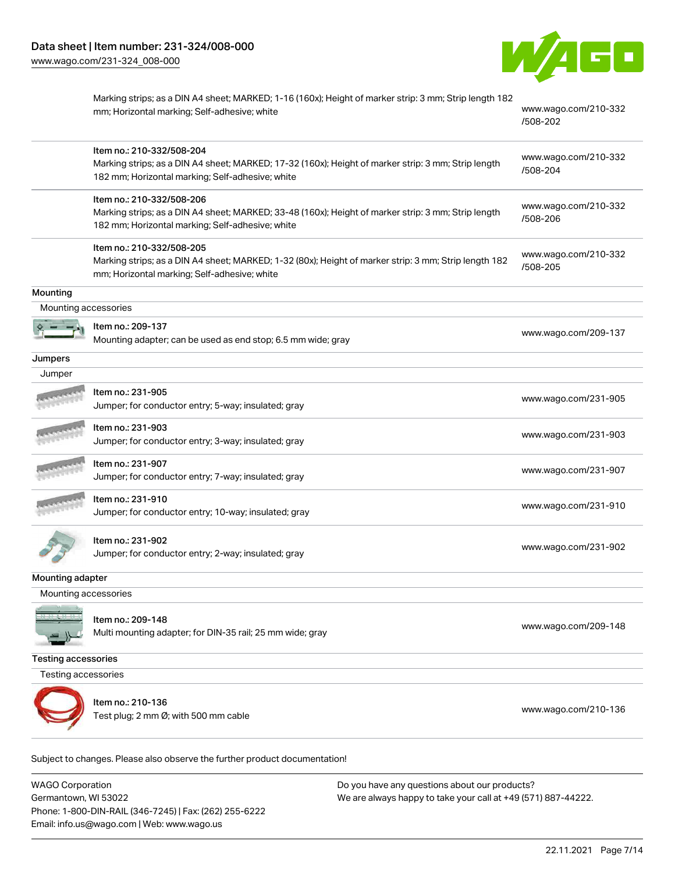

|                            | Marking strips; as a DIN A4 sheet; MARKED; 1-16 (160x); Height of marker strip: 3 mm; Strip length 182<br>mm; Horizontal marking; Self-adhesive; white                               | www.wago.com/210-332<br>/508-202 |
|----------------------------|--------------------------------------------------------------------------------------------------------------------------------------------------------------------------------------|----------------------------------|
|                            | Item no.: 210-332/508-204<br>Marking strips; as a DIN A4 sheet; MARKED; 17-32 (160x); Height of marker strip: 3 mm; Strip length<br>182 mm; Horizontal marking; Self-adhesive; white | www.wago.com/210-332<br>/508-204 |
|                            | Item no.: 210-332/508-206<br>Marking strips; as a DIN A4 sheet; MARKED; 33-48 (160x); Height of marker strip: 3 mm; Strip length<br>182 mm; Horizontal marking; Self-adhesive; white | www.wago.com/210-332<br>/508-206 |
|                            | Item no.: 210-332/508-205<br>Marking strips; as a DIN A4 sheet; MARKED; 1-32 (80x); Height of marker strip: 3 mm; Strip length 182<br>mm; Horizontal marking; Self-adhesive; white   | www.wago.com/210-332<br>/508-205 |
| Mounting                   |                                                                                                                                                                                      |                                  |
| Mounting accessories       |                                                                                                                                                                                      |                                  |
|                            | Item no.: 209-137<br>Mounting adapter; can be used as end stop; 6.5 mm wide; gray                                                                                                    | www.wago.com/209-137             |
| Jumpers                    |                                                                                                                                                                                      |                                  |
| Jumper                     |                                                                                                                                                                                      |                                  |
|                            | Item no.: 231-905<br>Jumper; for conductor entry; 5-way; insulated; gray                                                                                                             | www.wago.com/231-905             |
|                            | Item no.: 231-903<br>Jumper; for conductor entry; 3-way; insulated; gray                                                                                                             | www.wago.com/231-903             |
|                            | Item no.: 231-907<br>Jumper; for conductor entry; 7-way; insulated; gray                                                                                                             | www.wago.com/231-907             |
|                            | Item no.: 231-910<br>Jumper; for conductor entry; 10-way; insulated; gray                                                                                                            | www.wago.com/231-910             |
|                            | Item no.: 231-902<br>Jumper; for conductor entry; 2-way; insulated; gray                                                                                                             | www.wago.com/231-902             |
| Mounting adapter           |                                                                                                                                                                                      |                                  |
| Mounting accessories       |                                                                                                                                                                                      |                                  |
|                            | Item no.: 209-148<br>Multi mounting adapter; for DIN-35 rail; 25 mm wide; gray                                                                                                       | www.wago.com/209-148             |
| <b>Testing accessories</b> |                                                                                                                                                                                      |                                  |
| Testing accessories        |                                                                                                                                                                                      |                                  |
|                            | Item no.: 210-136<br>Test plug; 2 mm Ø; with 500 mm cable                                                                                                                            | www.wago.com/210-136             |

Subject to changes. Please also observe the further product documentation!

WAGO Corporation Germantown, WI 53022 Phone: 1-800-DIN-RAIL (346-7245) | Fax: (262) 255-6222 Email: info.us@wago.com | Web: www.wago.us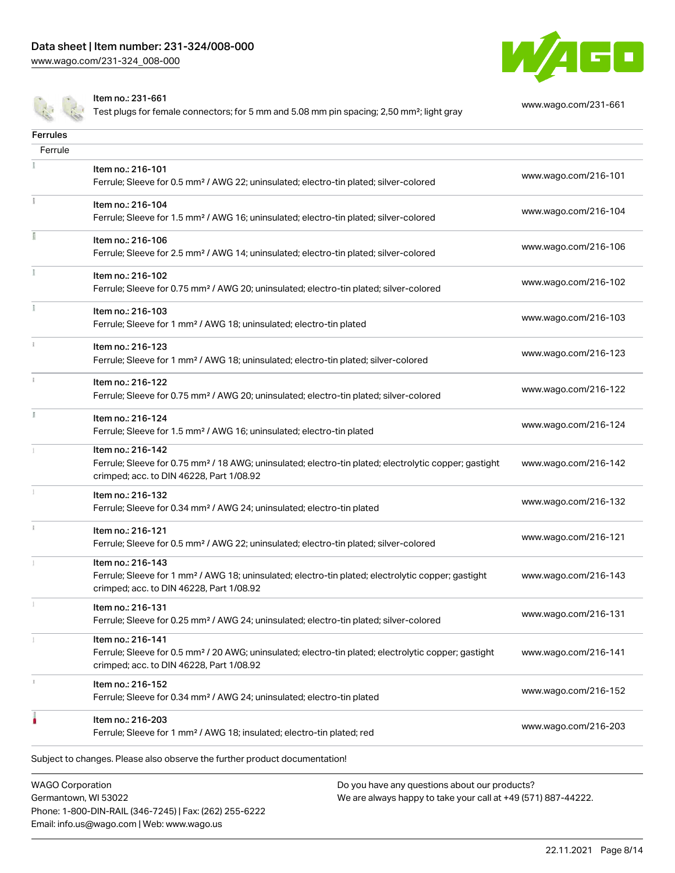Phone: 1-800-DIN-RAIL (346-7245) | Fax: (262) 255-6222

Email: info.us@wago.com | Web: www.wago.us



Item no.: 231-661

Test plugs for female connectors; for 5 mm and 5.08 mm pin spacing; 2,50 mm²; light gray [www.wago.com/231-661](http://www.wago.com/231-661)

| <b>Ferrules</b>                                 |                                                                                                                                                                                    |                                                                                                                |                      |
|-------------------------------------------------|------------------------------------------------------------------------------------------------------------------------------------------------------------------------------------|----------------------------------------------------------------------------------------------------------------|----------------------|
| Ferrule                                         |                                                                                                                                                                                    |                                                                                                                |                      |
|                                                 | Item no.: 216-101<br>Ferrule; Sleeve for 0.5 mm <sup>2</sup> / AWG 22; uninsulated; electro-tin plated; silver-colored                                                             |                                                                                                                | www.wago.com/216-101 |
|                                                 | Item no.: 216-104<br>Ferrule; Sleeve for 1.5 mm <sup>2</sup> / AWG 16; uninsulated; electro-tin plated; silver-colored                                                             |                                                                                                                | www.wago.com/216-104 |
| I                                               | Item no.: 216-106<br>Ferrule; Sleeve for 2.5 mm <sup>2</sup> / AWG 14; uninsulated; electro-tin plated; silver-colored                                                             |                                                                                                                | www.wago.com/216-106 |
| Ĭ.                                              | Item no.: 216-102<br>Ferrule; Sleeve for 0.75 mm <sup>2</sup> / AWG 20; uninsulated; electro-tin plated; silver-colored                                                            |                                                                                                                | www.wago.com/216-102 |
|                                                 | Item no.: 216-103<br>Ferrule; Sleeve for 1 mm <sup>2</sup> / AWG 18; uninsulated; electro-tin plated                                                                               |                                                                                                                | www.wago.com/216-103 |
| ī.                                              | Item no.: 216-123<br>Ferrule; Sleeve for 1 mm <sup>2</sup> / AWG 18; uninsulated; electro-tin plated; silver-colored                                                               |                                                                                                                | www.wago.com/216-123 |
| î.                                              | Item no.: 216-122<br>Ferrule; Sleeve for 0.75 mm <sup>2</sup> / AWG 20; uninsulated; electro-tin plated; silver-colored                                                            |                                                                                                                | www.wago.com/216-122 |
| ĭ                                               | Item no.: 216-124<br>Ferrule; Sleeve for 1.5 mm <sup>2</sup> / AWG 16; uninsulated; electro-tin plated                                                                             |                                                                                                                | www.wago.com/216-124 |
|                                                 | Item no.: 216-142<br>Ferrule; Sleeve for 0.75 mm <sup>2</sup> / 18 AWG; uninsulated; electro-tin plated; electrolytic copper; gastight<br>crimped; acc. to DIN 46228, Part 1/08.92 |                                                                                                                | www.wago.com/216-142 |
|                                                 | Item no.: 216-132<br>Ferrule; Sleeve for 0.34 mm <sup>2</sup> / AWG 24; uninsulated; electro-tin plated                                                                            |                                                                                                                | www.wago.com/216-132 |
| Î.                                              | Item no.: 216-121<br>Ferrule; Sleeve for 0.5 mm <sup>2</sup> / AWG 22; uninsulated; electro-tin plated; silver-colored                                                             |                                                                                                                | www.wago.com/216-121 |
|                                                 | Item no.: 216-143<br>Ferrule; Sleeve for 1 mm <sup>2</sup> / AWG 18; uninsulated; electro-tin plated; electrolytic copper; gastight<br>crimped; acc. to DIN 46228, Part 1/08.92    |                                                                                                                | www.wago.com/216-143 |
|                                                 | Item no.: 216-131<br>Ferrule; Sleeve for 0.25 mm <sup>2</sup> / AWG 24; uninsulated; electro-tin plated; silver-colored                                                            |                                                                                                                | www.wago.com/216-131 |
|                                                 | Item no.: 216-141<br>Ferrule; Sleeve for 0.5 mm <sup>2</sup> / 20 AWG; uninsulated; electro-tin plated; electrolytic copper; gastight<br>crimped; acc. to DIN 46228, Part 1/08.92  |                                                                                                                | www.wago.com/216-141 |
| s.                                              | Item no.: 216-152<br>Ferrule; Sleeve for 0.34 mm <sup>2</sup> / AWG 24; uninsulated; electro-tin plated                                                                            |                                                                                                                | www.wago.com/216-152 |
|                                                 | Item no.: 216-203<br>Ferrule; Sleeve for 1 mm <sup>2</sup> / AWG 18; insulated; electro-tin plated; red                                                                            |                                                                                                                | www.wago.com/216-203 |
|                                                 | Subject to changes. Please also observe the further product documentation!                                                                                                         |                                                                                                                |                      |
| <b>WAGO Corporation</b><br>Germantown, WI 53022 |                                                                                                                                                                                    | Do you have any questions about our products?<br>We are always happy to take your call at +49 (571) 887-44222. |                      |

22.11.2021 Page 8/14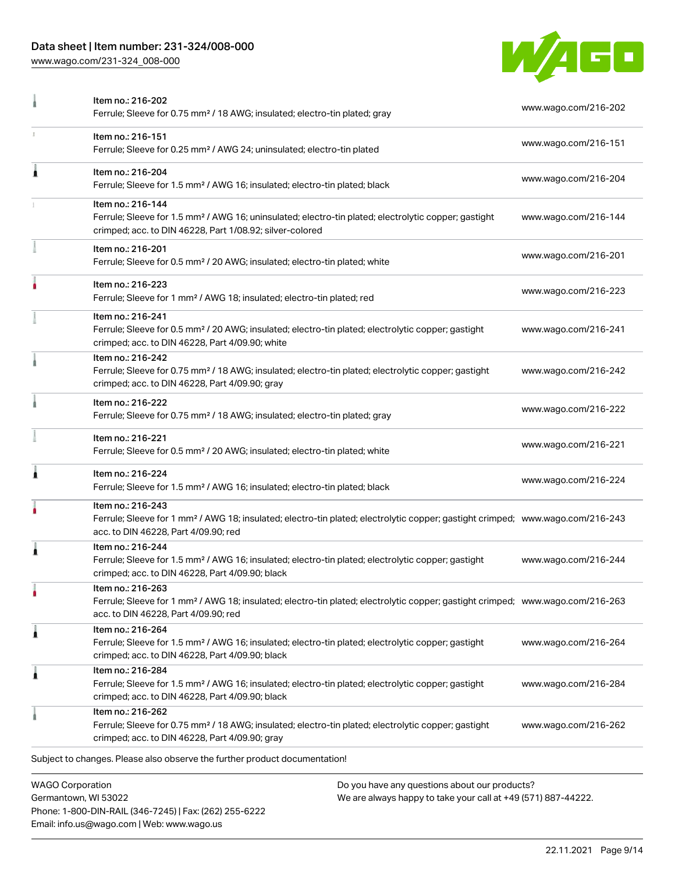# Data sheet | Item number: 231-324/008-000

Phone: 1-800-DIN-RAIL (346-7245) | Fax: (262) 255-6222

Email: info.us@wago.com | Web: www.wago.us

[www.wago.com/231-324\\_008-000](http://www.wago.com/231-324_008-000)



|   | Item no.: 216-202<br>Ferrule; Sleeve for 0.75 mm <sup>2</sup> / 18 AWG; insulated; electro-tin plated; gray                                                                                             |                                                                                                                | www.wago.com/216-202 |
|---|---------------------------------------------------------------------------------------------------------------------------------------------------------------------------------------------------------|----------------------------------------------------------------------------------------------------------------|----------------------|
|   | Item no.: 216-151<br>Ferrule; Sleeve for 0.25 mm <sup>2</sup> / AWG 24; uninsulated; electro-tin plated                                                                                                 |                                                                                                                | www.wago.com/216-151 |
| Ă | Item no.: 216-204<br>Ferrule; Sleeve for 1.5 mm <sup>2</sup> / AWG 16; insulated; electro-tin plated; black                                                                                             |                                                                                                                | www.wago.com/216-204 |
|   | Item no.: 216-144<br>Ferrule; Sleeve for 1.5 mm <sup>2</sup> / AWG 16; uninsulated; electro-tin plated; electrolytic copper; gastight<br>crimped; acc. to DIN 46228, Part 1/08.92; silver-colored       |                                                                                                                | www.wago.com/216-144 |
|   | Item no.: 216-201<br>Ferrule; Sleeve for 0.5 mm <sup>2</sup> / 20 AWG; insulated; electro-tin plated; white                                                                                             |                                                                                                                | www.wago.com/216-201 |
|   | Item no.: 216-223<br>Ferrule; Sleeve for 1 mm <sup>2</sup> / AWG 18; insulated; electro-tin plated; red                                                                                                 |                                                                                                                | www.wago.com/216-223 |
|   | Item no.: 216-241<br>Ferrule; Sleeve for 0.5 mm <sup>2</sup> / 20 AWG; insulated; electro-tin plated; electrolytic copper; gastight<br>crimped; acc. to DIN 46228, Part 4/09.90; white                  |                                                                                                                | www.wago.com/216-241 |
|   | Item no.: 216-242<br>Ferrule; Sleeve for 0.75 mm <sup>2</sup> / 18 AWG; insulated; electro-tin plated; electrolytic copper; gastight<br>crimped; acc. to DIN 46228, Part 4/09.90; gray                  |                                                                                                                | www.wago.com/216-242 |
|   | Item no.: 216-222<br>Ferrule; Sleeve for 0.75 mm <sup>2</sup> / 18 AWG; insulated; electro-tin plated; gray                                                                                             |                                                                                                                | www.wago.com/216-222 |
|   | Item no.: 216-221<br>Ferrule; Sleeve for 0.5 mm <sup>2</sup> / 20 AWG; insulated; electro-tin plated; white                                                                                             |                                                                                                                | www.wago.com/216-221 |
|   | Item no.: 216-224<br>Ferrule; Sleeve for 1.5 mm <sup>2</sup> / AWG 16; insulated; electro-tin plated; black                                                                                             |                                                                                                                | www.wago.com/216-224 |
|   | Item no.: 216-243<br>Ferrule; Sleeve for 1 mm <sup>2</sup> / AWG 18; insulated; electro-tin plated; electrolytic copper; gastight crimped; www.wago.com/216-243<br>acc. to DIN 46228, Part 4/09.90; red |                                                                                                                |                      |
|   | Item no.: 216-244<br>Ferrule; Sleeve for 1.5 mm <sup>2</sup> / AWG 16; insulated; electro-tin plated; electrolytic copper; gastight<br>crimped; acc. to DIN 46228, Part 4/09.90; black                  |                                                                                                                | www.wago.com/216-244 |
| ٠ | Item no.: 216-263<br>Ferrule; Sleeve for 1 mm <sup>2</sup> / AWG 18; insulated; electro-tin plated; electrolytic copper; gastight crimped; www.wago.com/216-263<br>acc. to DIN 46228, Part 4/09.90; red |                                                                                                                |                      |
| Â | Item no.: 216-264<br>Ferrule; Sleeve for 1.5 mm <sup>2</sup> / AWG 16; insulated; electro-tin plated; electrolytic copper; gastight<br>crimped; acc. to DIN 46228, Part 4/09.90; black                  |                                                                                                                | www.wago.com/216-264 |
| Â | Item no.: 216-284<br>Ferrule; Sleeve for 1.5 mm <sup>2</sup> / AWG 16; insulated; electro-tin plated; electrolytic copper; gastight<br>crimped; acc. to DIN 46228, Part 4/09.90; black                  |                                                                                                                | www.wago.com/216-284 |
|   | Item no.: 216-262<br>Ferrule; Sleeve for 0.75 mm <sup>2</sup> / 18 AWG; insulated; electro-tin plated; electrolytic copper; gastight<br>crimped; acc. to DIN 46228, Part 4/09.90; gray                  |                                                                                                                | www.wago.com/216-262 |
|   | Subject to changes. Please also observe the further product documentation!                                                                                                                              |                                                                                                                |                      |
|   | <b>WAGO Corporation</b><br>Germantown, WI 53022                                                                                                                                                         | Do you have any questions about our products?<br>We are always happy to take your call at +49 (571) 887-44222. |                      |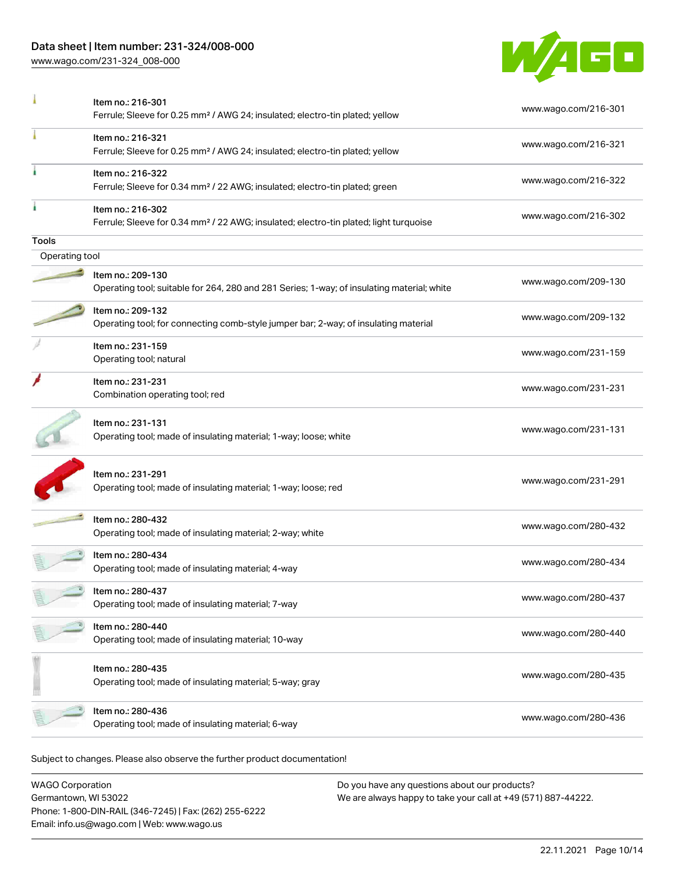# Data sheet | Item number: 231-324/008-000

[www.wago.com/231-324\\_008-000](http://www.wago.com/231-324_008-000)



|                | Item no.: 216-301<br>Ferrule; Sleeve for 0.25 mm <sup>2</sup> / AWG 24; insulated; electro-tin plated; yellow          | www.wago.com/216-301 |
|----------------|------------------------------------------------------------------------------------------------------------------------|----------------------|
|                | Item no.: 216-321<br>Ferrule; Sleeve for 0.25 mm <sup>2</sup> / AWG 24; insulated; electro-tin plated; yellow          | www.wago.com/216-321 |
|                | Item no.: 216-322<br>Ferrule; Sleeve for 0.34 mm <sup>2</sup> / 22 AWG; insulated; electro-tin plated; green           | www.wago.com/216-322 |
|                | Item no.: 216-302<br>Ferrule; Sleeve for 0.34 mm <sup>2</sup> / 22 AWG; insulated; electro-tin plated; light turquoise | www.wago.com/216-302 |
| Tools          |                                                                                                                        |                      |
| Operating tool |                                                                                                                        |                      |
|                | Item no.: 209-130<br>Operating tool; suitable for 264, 280 and 281 Series; 1-way; of insulating material; white        | www.wago.com/209-130 |
|                | Item no.: 209-132<br>Operating tool; for connecting comb-style jumper bar; 2-way; of insulating material               | www.wago.com/209-132 |
|                | Item no.: 231-159<br>Operating tool; natural                                                                           | www.wago.com/231-159 |
|                | Item no.: 231-231<br>Combination operating tool; red                                                                   | www.wago.com/231-231 |
|                | Item no.: 231-131<br>Operating tool; made of insulating material; 1-way; loose; white                                  | www.wago.com/231-131 |
|                | Item no.: 231-291<br>Operating tool; made of insulating material; 1-way; loose; red                                    | www.wago.com/231-291 |
|                | Item no.: 280-432<br>Operating tool; made of insulating material; 2-way; white                                         | www.wago.com/280-432 |
|                | Item no.: 280-434<br>Operating tool; made of insulating material; 4-way                                                | www.wago.com/280-434 |
|                | Item no.: 280-437<br>Operating tool; made of insulating material; 7-way                                                | www.wago.com/280-437 |
|                | Item no.: 280-440<br>Operating tool; made of insulating material; 10-way                                               | www.wago.com/280-440 |
|                | Item no.: 280-435<br>Operating tool; made of insulating material; 5-way; gray                                          | www.wago.com/280-435 |
|                | Item no.: 280-436<br>Operating tool; made of insulating material; 6-way                                                | www.wago.com/280-436 |

WAGO Corporation Germantown, WI 53022 Phone: 1-800-DIN-RAIL (346-7245) | Fax: (262) 255-6222 Email: info.us@wago.com | Web: www.wago.us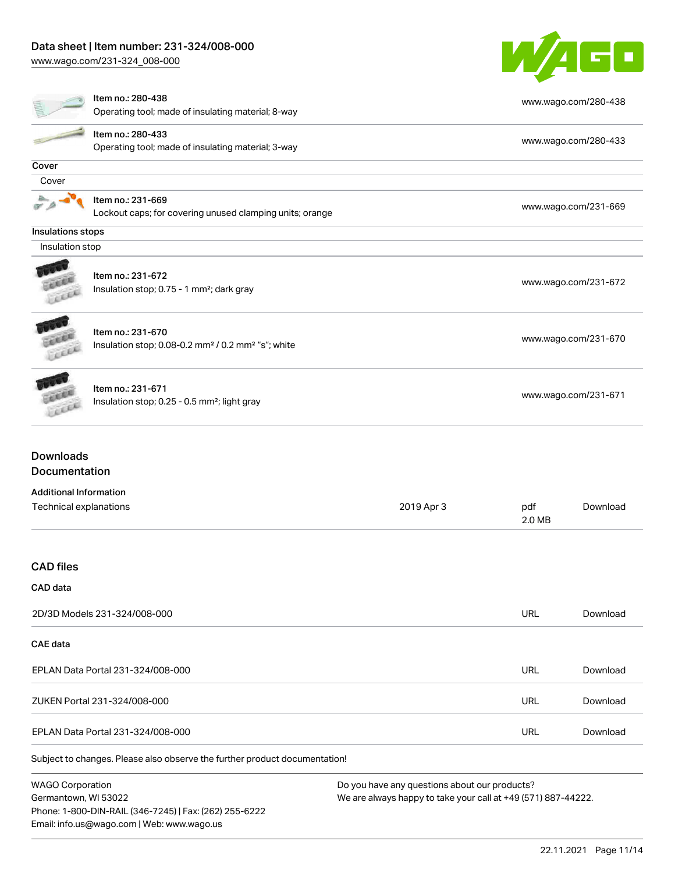# Data sheet | Item number: 231-324/008-000

[www.wago.com/231-324\\_008-000](http://www.wago.com/231-324_008-000)



|                                                         | Item no.: 280-438<br>Operating tool; made of insulating material; 8-way                         |            |               | www.wago.com/280-438 |
|---------------------------------------------------------|-------------------------------------------------------------------------------------------------|------------|---------------|----------------------|
|                                                         | Item no.: 280-433<br>Operating tool; made of insulating material; 3-way                         |            |               | www.wago.com/280-433 |
| Cover                                                   |                                                                                                 |            |               |                      |
| Cover                                                   |                                                                                                 |            |               |                      |
|                                                         | Item no.: 231-669<br>Lockout caps; for covering unused clamping units; orange                   |            |               | www.wago.com/231-669 |
| Insulations stops                                       |                                                                                                 |            |               |                      |
| Insulation stop                                         |                                                                                                 |            |               |                      |
|                                                         | Item no.: 231-672<br>Insulation stop; 0.75 - 1 mm <sup>2</sup> ; dark gray                      |            |               | www.wago.com/231-672 |
|                                                         | Item no.: 231-670<br>Insulation stop; 0.08-0.2 mm <sup>2</sup> / 0.2 mm <sup>2</sup> "s"; white |            |               | www.wago.com/231-670 |
|                                                         | Item no.: 231-671<br>Insulation stop; 0.25 - 0.5 mm <sup>2</sup> ; light gray                   |            |               | www.wago.com/231-671 |
| <b>Downloads</b><br>Documentation                       |                                                                                                 |            |               |                      |
|                                                         |                                                                                                 |            |               |                      |
| <b>Additional Information</b><br>Technical explanations |                                                                                                 | 2019 Apr 3 | pdf<br>2.0 MB | Download             |
| <b>CAD</b> files                                        |                                                                                                 |            |               |                      |
| CAD data                                                |                                                                                                 |            |               |                      |
|                                                         | 2D/3D Models 231-324/008-000                                                                    |            | <b>URL</b>    | Download             |
| CAE data                                                |                                                                                                 |            |               |                      |
|                                                         | EPLAN Data Portal 231-324/008-000                                                               |            | <b>URL</b>    | Download             |
|                                                         | ZUKEN Portal 231-324/008-000                                                                    |            | URL           | Download             |
|                                                         |                                                                                                 |            |               |                      |

EPLAN Data Portal 231-324/008-000 URL [Download](https://www.wago.com/global/d/EPLAN_URLS_231-324_008-000)

Subject to changes. Please also observe the further product documentation!

WAGO Corporation Germantown, WI 53022 Phone: 1-800-DIN-RAIL (346-7245) | Fax: (262) 255-6222 Email: info.us@wago.com | Web: www.wago.us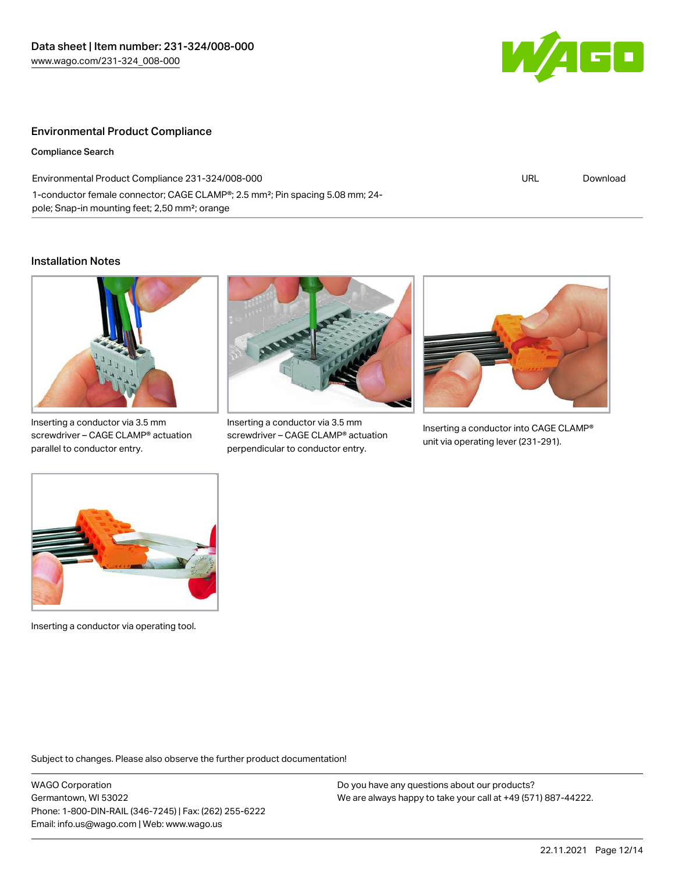

## Environmental Product Compliance

Compliance Search

| Environmental Product Compliance 231-324/008-000                                          | URL | Download |
|-------------------------------------------------------------------------------------------|-----|----------|
| 1-conductor female connector; CAGE CLAMP®; 2.5 mm <sup>2</sup> ; Pin spacing 5.08 mm; 24- |     |          |
| pole; Snap-in mounting feet; 2,50 mm <sup>2</sup> ; orange                                |     |          |

#### Installation Notes



Inserting a conductor via 3.5 mm screwdriver – CAGE CLAMP® actuation parallel to conductor entry.



Inserting a conductor via 3.5 mm screwdriver – CAGE CLAMP® actuation perpendicular to conductor entry.



Inserting a conductor into CAGE CLAMP® unit via operating lever (231-291).



Inserting a conductor via operating tool.

Subject to changes. Please also observe the further product documentation!

WAGO Corporation Germantown, WI 53022 Phone: 1-800-DIN-RAIL (346-7245) | Fax: (262) 255-6222 Email: info.us@wago.com | Web: www.wago.us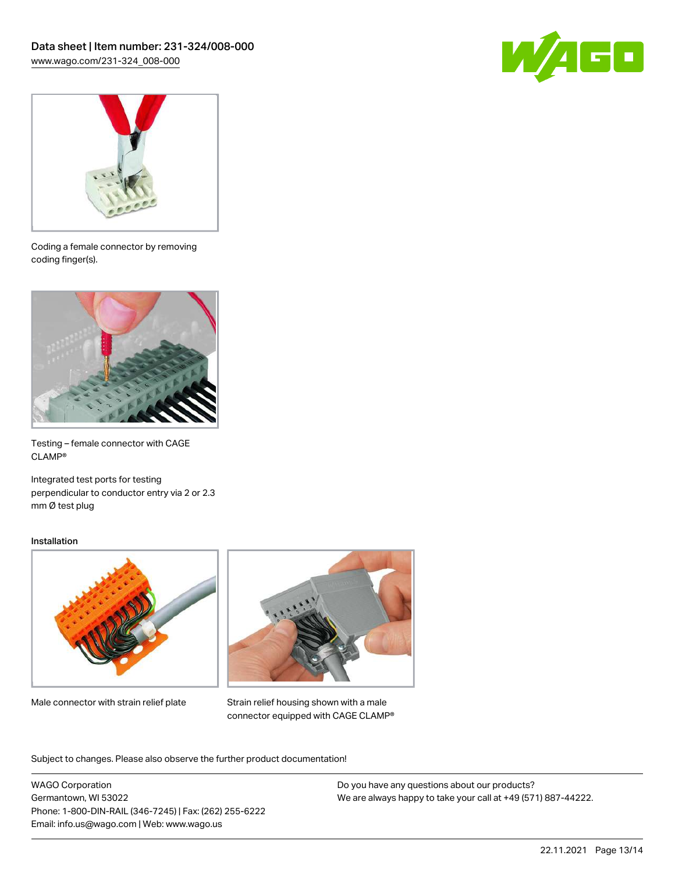



Coding a female connector by removing coding finger(s).



Testing – female connector with CAGE CLAMP®

Integrated test ports for testing perpendicular to conductor entry via 2 or 2.3 mm Ø test plug

#### Installation



Male connector with strain relief plate



Strain relief housing shown with a male connector equipped with CAGE CLAMP®

Subject to changes. Please also observe the further product documentation!

WAGO Corporation Germantown, WI 53022 Phone: 1-800-DIN-RAIL (346-7245) | Fax: (262) 255-6222 Email: info.us@wago.com | Web: www.wago.us